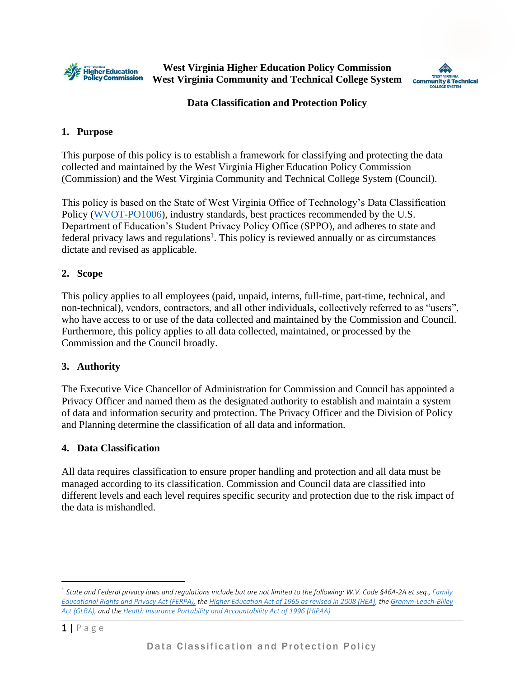

**West Virginia Higher Education Policy Commission West Virginia Community and Technical College System**



### **Data Classification and Protection Policy**

### **1. Purpose**

This purpose of this policy is to establish a framework for classifying and protecting the data collected and maintained by the West Virginia Higher Education Policy Commission (Commission) and the West Virginia Community and Technical College System (Council).

This policy is based on the State of West Virginia Office of Technology's Data Classification Policy [\(WVOT-PO1006\)](https://technology.wv.gov/SiteCollectionDocuments/Policies%20Issued%20by%20the%20CTO/2019/PO1006_DataClassification_Mar2019.pdf), industry standards, best practices recommended by the U.S. Department of Education's Student Privacy Policy Office (SPPO), and adheres to state and federal privacy laws and regulations<sup>1</sup>. This policy is reviewed annually or as circumstances dictate and revised as applicable.

# **2. Scope**

This policy applies to all employees (paid, unpaid, interns, full-time, part-time, technical, and non-technical), vendors, contractors, and all other individuals, collectively referred to as "users", who have access to or use of the data collected and maintained by the Commission and Council. Furthermore, this policy applies to all data collected, maintained, or processed by the Commission and the Council broadly.

#### **3. Authority**

The Executive Vice Chancellor of Administration for Commission and Council has appointed a Privacy Officer and named them as the designated authority to establish and maintain a system of data and information security and protection. The Privacy Officer and the Division of Policy and Planning determine the classification of all data and information.

#### **4. Data Classification**

All data requires classification to ensure proper handling and protection and all data must be managed according to its classification. Commission and Council data are classified into different levels and each level requires specific security and protection due to the risk impact of the data is mishandled.

<sup>1</sup> *State and Federal privacy laws and regulations include but are not limited to the following: W.V. Code §46A-2A et seq.[, Family](https://www2.ed.gov/policy/gen/guid/fpco/ferpa/index.html)  [Educational Rights and Privacy Act \(FERPA\),](https://www2.ed.gov/policy/gen/guid/fpco/ferpa/index.html) th[e Higher Education Act of 1965 as revised in 2008 \(HEA\),](https://www2.ed.gov/policy/highered/leg/hea08/index.html) th[e Gramm-Leach-Bliley](https://www.ftc.gov/tips-advice/business-center/guidance/financial-institutions-customer-information-complying#how)  [Act \(GLBA\),](https://www.ftc.gov/tips-advice/business-center/guidance/financial-institutions-customer-information-complying#how) and th[e Health Insurance Portability and Accountability Act of 1996 \(HIPAA\)](https://www.cdc.gov/phlp/publications/topic/hipaa.html)*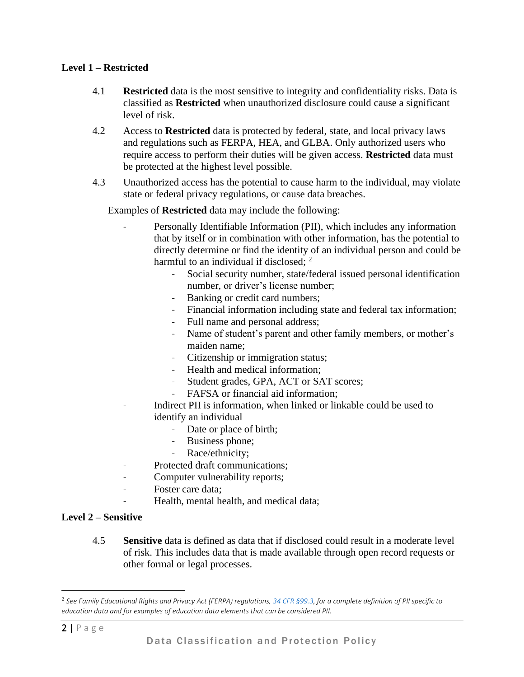# **Level 1 – Restricted**

- 4.1 **Restricted** data is the most sensitive to integrity and confidentiality risks. Data is classified as **Restricted** when unauthorized disclosure could cause a significant level of risk.
- 4.2 Access to **Restricted** data is protected by federal, state, and local privacy laws and regulations such as FERPA, HEA, and GLBA. Only authorized users who require access to perform their duties will be given access. **Restricted** data must be protected at the highest level possible.
- 4.3 Unauthorized access has the potential to cause harm to the individual, may violate state or federal privacy regulations, or cause data breaches.

Examples of **Restricted** data may include the following:

- Personally Identifiable Information (PII), which includes any information that by itself or in combination with other information, has the potential to directly determine or find the identity of an individual person and could be harmful to an individual if disclosed; 2
	- Social security number, state/federal issued personal identification number, or driver's license number;
	- Banking or credit card numbers;
	- Financial information including state and federal tax information;
	- Full name and personal address;
	- Name of student's parent and other family members, or mother's maiden name;
	- Citizenship or immigration status;
	- Health and medical information;
	- Student grades, GPA, ACT or SAT scores;
	- FAFSA or financial aid information:
- Indirect PII is information, when linked or linkable could be used to identify an individual
	- Date or place of birth;
	- Business phone;
	- Race/ethnicity;
- Protected draft communications:
- Computer vulnerability reports;
- Foster care data:
- Health, mental health, and medical data;

#### **Level 2 – Sensitive**

4.5 **Sensitive** data is defined as data that if disclosed could result in a moderate level of risk. This includes data that is made available through open record requests or other formal or legal processes.

<sup>2</sup> *See Family Educational Rights and Privacy Act (FERPA) regulations, [34 CFR §99.3,](https://www2.ed.gov/policy/gen/guid/fpco/pdf/ferparegs.pdf) for a complete definition of PII specific to education data and for examples of education data elements that can be considered PII.*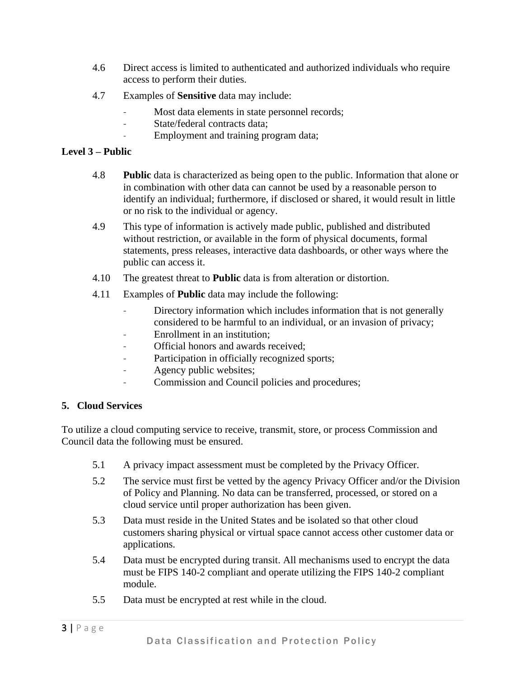- 4.6 Direct access is limited to authenticated and authorized individuals who require access to perform their duties.
- 4.7 Examples of **Sensitive** data may include:
	- Most data elements in state personnel records;
	- State/federal contracts data:
	- Employment and training program data;

# **Level 3 – Public**

- 4.8 **Public** data is characterized as being open to the public. Information that alone or in combination with other data can cannot be used by a reasonable person to identify an individual; furthermore, if disclosed or shared, it would result in little or no risk to the individual or agency.
- 4.9 This type of information is actively made public, published and distributed without restriction, or available in the form of physical documents, formal statements, press releases, interactive data dashboards, or other ways where the public can access it.
- 4.10 The greatest threat to **Public** data is from alteration or distortion.
- 4.11 Examples of **Public** data may include the following:
	- Directory information which includes information that is not generally considered to be harmful to an individual, or an invasion of privacy;
	- Enrollment in an institution:
	- Official honors and awards received;
	- Participation in officially recognized sports;
	- Agency public websites;
	- Commission and Council policies and procedures;

#### **5. Cloud Services**

To utilize a cloud computing service to receive, transmit, store, or process Commission and Council data the following must be ensured.

- 5.1 A privacy impact assessment must be completed by the Privacy Officer.
- 5.2 The service must first be vetted by the agency Privacy Officer and/or the Division of Policy and Planning. No data can be transferred, processed, or stored on a cloud service until proper authorization has been given.
- 5.3 Data must reside in the United States and be isolated so that other cloud customers sharing physical or virtual space cannot access other customer data or applications.
- 5.4 Data must be encrypted during transit. All mechanisms used to encrypt the data must be FIPS 140-2 compliant and operate utilizing the FIPS 140-2 compliant module.
- 5.5 Data must be encrypted at rest while in the cloud.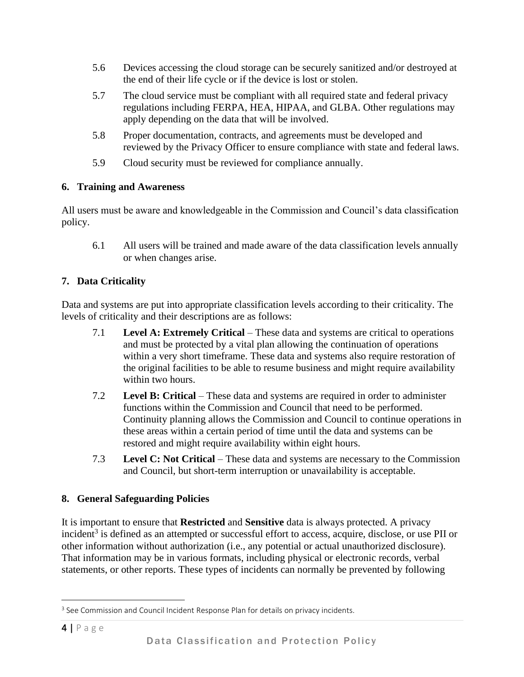- 5.6 Devices accessing the cloud storage can be securely sanitized and/or destroyed at the end of their life cycle or if the device is lost or stolen.
- 5.7 The cloud service must be compliant with all required state and federal privacy regulations including FERPA, HEA, HIPAA, and GLBA. Other regulations may apply depending on the data that will be involved.
- 5.8 Proper documentation, contracts, and agreements must be developed and reviewed by the Privacy Officer to ensure compliance with state and federal laws.
- 5.9 Cloud security must be reviewed for compliance annually.

# **6. Training and Awareness**

All users must be aware and knowledgeable in the Commission and Council's data classification policy.

6.1 All users will be trained and made aware of the data classification levels annually or when changes arise.

# **7. Data Criticality**

Data and systems are put into appropriate classification levels according to their criticality. The levels of criticality and their descriptions are as follows:

- 7.1 **Level A: Extremely Critical** These data and systems are critical to operations and must be protected by a vital plan allowing the continuation of operations within a very short timeframe. These data and systems also require restoration of the original facilities to be able to resume business and might require availability within two hours.
- 7.2 **Level B: Critical** These data and systems are required in order to administer functions within the Commission and Council that need to be performed. Continuity planning allows the Commission and Council to continue operations in these areas within a certain period of time until the data and systems can be restored and might require availability within eight hours.
- 7.3 **Level C: Not Critical** These data and systems are necessary to the Commission and Council, but short-term interruption or unavailability is acceptable.

# **8. General Safeguarding Policies**

It is important to ensure that **Restricted** and **Sensitive** data is always protected. A privacy incident<sup>3</sup> is defined as an attempted or successful effort to access, acquire, disclose, or use PII or other information without authorization (i.e., any potential or actual unauthorized disclosure). That information may be in various formats, including physical or electronic records, verbal statements, or other reports. These types of incidents can normally be prevented by following

<sup>&</sup>lt;sup>3</sup> See Commission and Council Incident Response Plan for details on privacy incidents.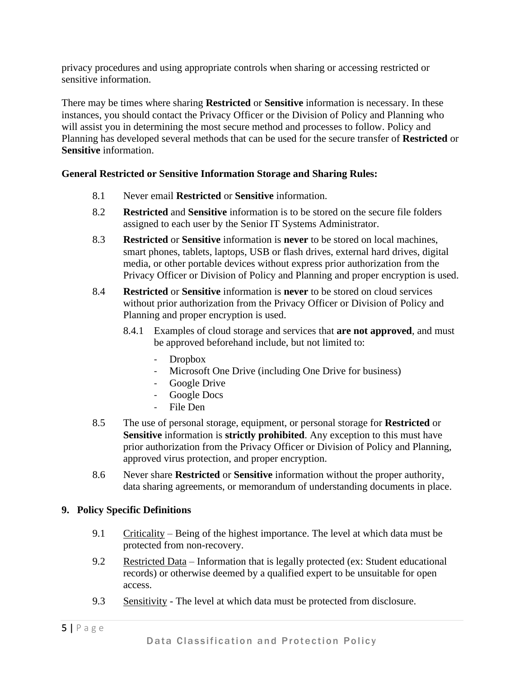privacy procedures and using appropriate controls when sharing or accessing restricted or sensitive information.

There may be times where sharing **Restricted** or **Sensitive** information is necessary. In these instances, you should contact the Privacy Officer or the Division of Policy and Planning who will assist you in determining the most secure method and processes to follow. Policy and Planning has developed several methods that can be used for the secure transfer of **Restricted** or **Sensitive** information.

#### **General Restricted or Sensitive Information Storage and Sharing Rules:**

- 8.1 Never email **Restricted** or **Sensitive** information.
- 8.2 **Restricted** and **Sensitive** information is to be stored on the secure file folders assigned to each user by the Senior IT Systems Administrator.
- 8.3 **Restricted** or **Sensitive** information is **never** to be stored on local machines, smart phones, tablets, laptops, USB or flash drives, external hard drives, digital media, or other portable devices without express prior authorization from the Privacy Officer or Division of Policy and Planning and proper encryption is used.
- 8.4 **Restricted** or **Sensitive** information is **never** to be stored on cloud services without prior authorization from the Privacy Officer or Division of Policy and Planning and proper encryption is used.
	- 8.4.1 Examples of cloud storage and services that **are not approved**, and must be approved beforehand include, but not limited to:
		- Dropbox
		- Microsoft One Drive (including One Drive for business)
		- Google Drive
		- Google Docs
		- File Den
- 8.5 The use of personal storage, equipment, or personal storage for **Restricted** or **Sensitive** information is **strictly prohibited**. Any exception to this must have prior authorization from the Privacy Officer or Division of Policy and Planning, approved virus protection, and proper encryption.
- 8.6 Never share **Restricted** or **Sensitive** information without the proper authority, data sharing agreements, or memorandum of understanding documents in place.

#### **9. Policy Specific Definitions**

- 9.1 Criticality Being of the highest importance. The level at which data must be protected from non-recovery.
- 9.2 Restricted Data Information that is legally protected (ex: Student educational records) or otherwise deemed by a qualified expert to be unsuitable for open access.
- 9.3 Sensitivity The level at which data must be protected from disclosure.